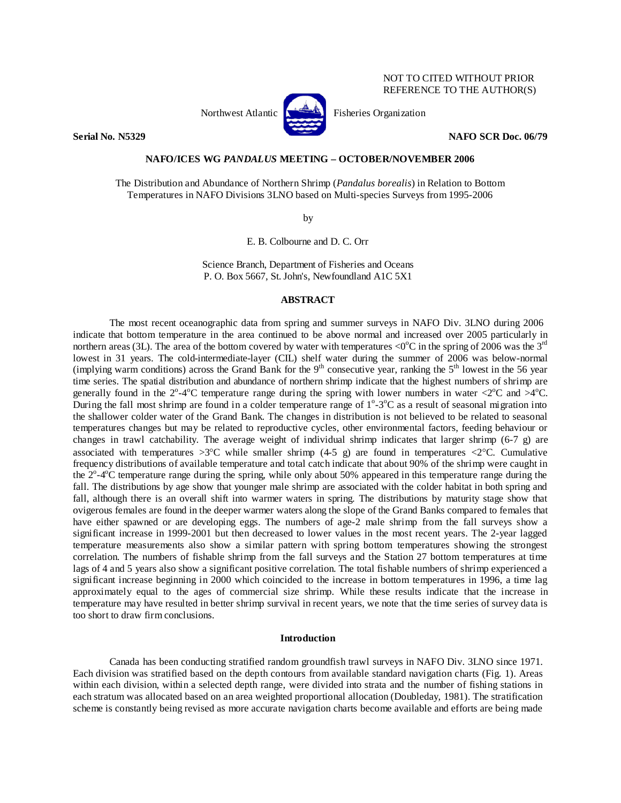# NOT TO CITED WITHOUT PRIOR REFERENCE TO THE AUTHOR(S)



Northwest Atlantic **No. 3. Expansion** Fisheries Organization

**Serial No. N5329 NAFO SCR Doc. 06/79** 

### **NAFO/ICES WG** *PANDALUS* **MEETING – OCTOBER/NOVEMBER 2006**

The Distribution and Abundance of Northern Shrimp (*Pandalus borealis*) in Relation to Bottom Temperatures in NAFO Divisions 3LNO based on Multi-species Surveys from 1995-2006

by

E. B. Colbourne and D. C. Orr

Science Branch, Department of Fisheries and Oceans P. O. Box 5667, St. John's, Newfoundland A1C 5X1

#### **ABSTRACT**

 The most recent oceanographic data from spring and summer surveys in NAFO Div. 3LNO during 2006 indicate that bottom temperature in the area continued to be above normal and increased over 2005 particularly in northern areas (3L). The area of the bottom covered by water with temperatures <0 $^{\circ}$ C in the spring of 2006 was the 3<sup>rd</sup> lowest in 31 years. The cold-intermediate-layer (CIL) shelf water during the summer of 2006 was below-normal (implying warm conditions) across the Grand Bank for the  $9<sup>th</sup>$  consecutive year, ranking the  $5<sup>th</sup>$  lowest in the 56 year time series. The spatial distribution and abundance of northern shrimp indicate that the highest numbers of shrimp are generally found in the  $2^{\circ}$ -4 $^{\circ}$ C temperature range during the spring with lower numbers in water <2 $^{\circ}$ C and >4 $^{\circ}$ C. During the fall most shrimp are found in a colder temperature range of  $1^{\circ}$ -3 $^{\circ}$ C as a result of seasonal migration into the shallower colder water of the Grand Bank. The changes in distribution is not believed to be related to seasonal temperatures changes but may be related to reproductive cycles, other environmental factors, feeding behaviour or changes in trawl catchability. The average weight of individual shrimp indicates that larger shrimp (6-7 g) are associated with temperatures  $>3^{\circ}$ C while smaller shrimp (4-5 g) are found in temperatures  $<2^{\circ}$ C. Cumulative frequency distributions of available temperature and total catch indicate that about 90% of the shrimp were caught in the  $2^{\circ}$ -4 $^{\circ}$ C temperature range during the spring, while only about 50% appeared in this temperature range during the fall. The distributions by age show that younger male shrimp are associated with the colder habitat in both spring and fall, although there is an overall shift into warmer waters in spring. The distributions by maturity stage show that ovigerous females are found in the deeper warmer waters along the slope of the Grand Banks compared to females that have either spawned or are developing eggs. The numbers of age-2 male shrimp from the fall surveys show a significant increase in 1999-2001 but then decreased to lower values in the most recent years. The 2-year lagged temperature measurements also show a similar pattern with spring bottom temperatures showing the strongest correlation. The numbers of fishable shrimp from the fall surveys and the Station 27 bottom temperatures at time lags of 4 and 5 years also show a significant positive correlation. The total fishable numbers of shrimp experienced a significant increase beginning in 2000 which coincided to the increase in bottom temperatures in 1996, a time lag approximately equal to the ages of commercial size shrimp. While these results indicate that the increase in temperature may have resulted in better shrimp survival in recent years, we note that the time series of survey data is too short to draw firm conclusions.

## **Introduction**

Canada has been conducting stratified random groundfish trawl surveys in NAFO Div. 3LNO since 1971. Each division was stratified based on the depth contours from available standard navigation charts (Fig. 1). Areas within each division, within a selected depth range, were divided into strata and the number of fishing stations in each stratum was allocated based on an area weighted proportional allocation (Doubleday, 1981). The stratification scheme is constantly being revised as more accurate navigation charts become available and efforts are being made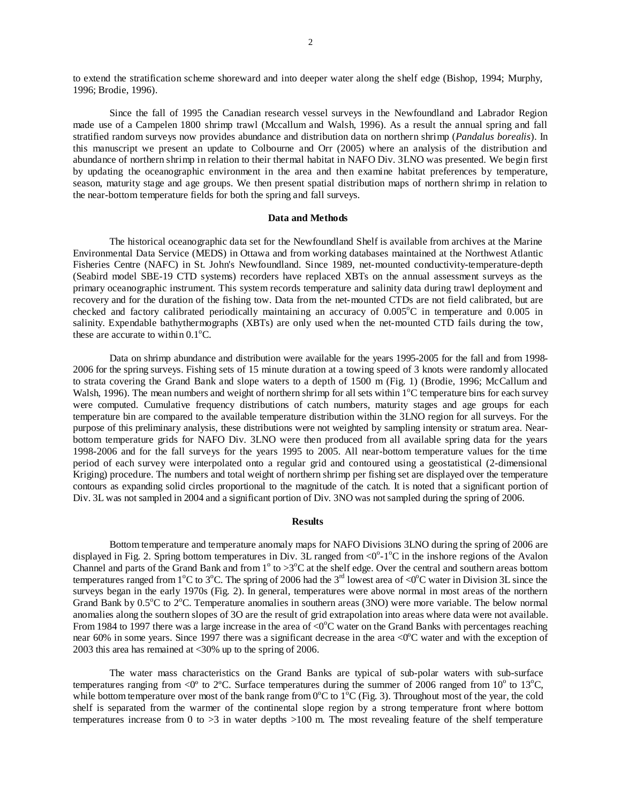to extend the stratification scheme shoreward and into deeper water along the shelf edge (Bishop, 1994; Murphy, 1996; Brodie, 1996).

Since the fall of 1995 the Canadian research vessel surveys in the Newfoundland and Labrador Region made use of a Campelen 1800 shrimp trawl (Mccallum and Walsh, 1996). As a result the annual spring and fall stratified random surveys now provides abundance and distribution data on northern shrimp (*Pandalus borealis*). In this manuscript we present an update to Colbourne and Orr (2005) where an analysis of the distribution and abundance of northern shrimp in relation to their thermal habitat in NAFO Div. 3LNO was presented. We begin first by updating the oceanographic environment in the area and then examine habitat preferences by temperature, season, maturity stage and age groups. We then present spatial distribution maps of northern shrimp in relation to the near-bottom temperature fields for both the spring and fall surveys.

### **Data and Methods**

The historical oceanographic data set for the Newfoundland Shelf is available from archives at the Marine Environmental Data Service (MEDS) in Ottawa and from working databases maintained at the Northwest Atlantic Fisheries Centre (NAFC) in St. John's Newfoundland. Since 1989, net-mounted conductivity-temperature-depth (Seabird model SBE-19 CTD systems) recorders have replaced XBTs on the annual assessment surveys as the primary oceanographic instrument. This system records temperature and salinity data during trawl deployment and recovery and for the duration of the fishing tow. Data from the net-mounted CTDs are not field calibrated, but are checked and factory calibrated periodically maintaining an accuracy of 0.005°C in temperature and 0.005 in salinity. Expendable bathythermographs (XBTs) are only used when the net-mounted CTD fails during the tow, these are accurate to within  $0.1^{\circ}$ C.

Data on shrimp abundance and distribution were available for the years 1995-2005 for the fall and from 1998- 2006 for the spring surveys. Fishing sets of 15 minute duration at a towing speed of 3 knots were randomly allocated to strata covering the Grand Bank and slope waters to a depth of 1500 m (Fig. 1) (Brodie, 1996; McCallum and Walsh, 1996). The mean numbers and weight of northern shrimp for all sets within  $1^{\circ}$ C temperature bins for each survey were computed. Cumulative frequency distributions of catch numbers, maturity stages and age groups for each temperature bin are compared to the available temperature distribution within the 3LNO region for all surveys. For the purpose of this preliminary analysis, these distributions were not weighted by sampling intensity or stratum area. Nearbottom temperature grids for NAFO Div. 3LNO were then produced from all available spring data for the years 1998-2006 and for the fall surveys for the years 1995 to 2005. All near-bottom temperature values for the time period of each survey were interpolated onto a regular grid and contoured using a geostatistical (2-dimensional Kriging) procedure. The numbers and total weight of northern shrimp per fishing set are displayed over the temperature contours as expanding solid circles proportional to the magnitude of the catch. It is noted that a significant portion of Div. 3L was not sampled in 2004 and a significant portion of Div. 3NO was not sampled during the spring of 2006.

#### **Results**

 Bottom temperature and temperature anomaly maps for NAFO Divisions 3LNO during the spring of 2006 are displayed in Fig. 2. Spring bottom temperatures in Div. 3L ranged from  $\langle 0^{\circ}$ -1°C in the inshore regions of the Avalon Channel and parts of the Grand Bank and from  $1^\circ$  to  $>3^\circ$ C at the shelf edge. Over the central and southern areas bottom temperatures ranged from 1<sup>o</sup>C to 3<sup>o</sup>C. The spring of 2006 had the 3<sup>rd</sup> lowest area of <0<sup>o</sup>C water in Division 3L since the surveys began in the early 1970s (Fig. 2). In general, temperatures were above normal in most areas of the northern Grand Bank by 0.5°C to 2°C. Temperature anomalies in southern areas (3NO) were more variable. The below normal anomalies along the southern slopes of 3O are the result of grid extrapolation into areas where data were not available. From 1984 to 1997 there was a large increase in the area of <0 $^{\circ}$ C water on the Grand Banks with percentages reaching near 60% in some years. Since 1997 there was a significant decrease in the area <0 $^{\circ}$ C water and with the exception of 2003 this area has remained at <30% up to the spring of 2006.

The water mass characteristics on the Grand Banks are typical of sub-polar waters with sub-surface temperatures ranging from  $\langle 0^{\circ}$  to 2°C. Surface temperatures during the summer of 2006 ranged from 10 $^{\circ}$  to 13 $^{\circ}$ C, while bottom temperature over most of the bank range from  $0^{\circ}$ C to  $1^{\circ}$ C (Fig. 3). Throughout most of the year, the cold shelf is separated from the warmer of the continental slope region by a strong temperature front where bottom temperatures increase from 0 to >3 in water depths >100 m. The most revealing feature of the shelf temperature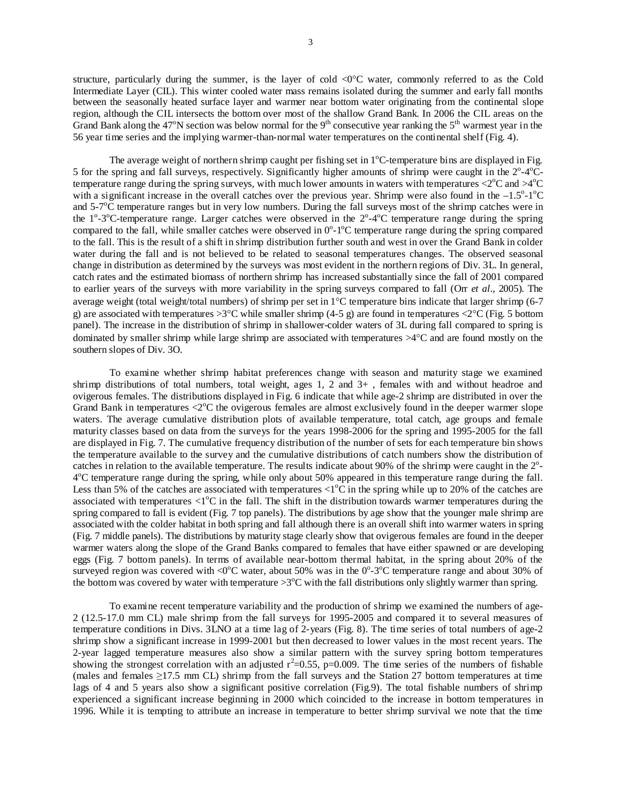structure, particularly during the summer, is the layer of cold <0°C water, commonly referred to as the Cold Intermediate Layer (CIL). This winter cooled water mass remains isolated during the summer and early fall months between the seasonally heated surface layer and warmer near bottom water originating from the continental slope region, although the CIL intersects the bottom over most of the shallow Grand Bank. In 2006 the CIL areas on the Grand Bank along the 47°N section was below normal for the 9<sup>th</sup> consecutive year ranking the 5<sup>th</sup> warmest year in the 56 year time series and the implying warmer-than-normal water temperatures on the continental shelf (Fig. 4).

The average weight of northern shrimp caught per fishing set in  $1^{\circ}$ C-temperature bins are displayed in Fig. 5 for the spring and fall surveys, respectively. Significantly higher amounts of shrimp were caught in the  $2^{\circ}$ -4 $^{\circ}$ Ctemperature range during the spring surveys, with much lower amounts in waters with temperatures  $\langle 2^{\circ}$ C and  $>4^{\circ}$ C with a significant increase in the overall catches over the previous year. Shrimp were also found in the  $-1.5^{\circ}$ -1 $^{\circ}$ C and  $5\text{-}7\textdegree$ C temperature ranges but in very low numbers. During the fall surveys most of the shrimp catches were in the  $1^{\circ}$ -3°C-temperature range. Larger catches were observed in the  $2^{\circ}$ -4°C temperature range during the spring compared to the fall, while smaller catches were observed in  $0^{\circ}$ -1 $^{\circ}$ C temperature range during the spring compared to the fall. This is the result of a shift in shrimp distribution further south and west in over the Grand Bank in colder water during the fall and is not believed to be related to seasonal temperatures changes. The observed seasonal change in distribution as determined by the surveys was most evident in the northern regions of Div. 3L. In general, catch rates and the estimated biomass of northern shrimp has increased substantially since the fall of 2001 compared to earlier years of the surveys with more variability in the spring surveys compared to fall (Orr *et al*., 2005). The average weight (total weight/total numbers) of shrimp per set in 1°C temperature bins indicate that larger shrimp (6-7 g) are associated with temperatures  $>3^{\circ}$ C while smaller shrimp (4-5 g) are found in temperatures  $<2^{\circ}$ C (Fig. 5 bottom panel). The increase in the distribution of shrimp in shallower-colder waters of 3L during fall compared to spring is dominated by smaller shrimp while large shrimp are associated with temperatures >4°C and are found mostly on the southern slopes of Div. 3O.

 To examine whether shrimp habitat preferences change with season and maturity stage we examined shrimp distributions of total numbers, total weight, ages 1, 2 and 3+ , females with and without headroe and ovigerous females. The distributions displayed in Fig. 6 indicate that while age-2 shrimp are distributed in over the Grand Bank in temperatures  $\langle 2^{\circ}$ C the ovigerous females are almost exclusively found in the deeper warmer slope waters. The average cumulative distribution plots of available temperature, total catch, age groups and female maturity classes based on data from the surveys for the years 1998-2006 for the spring and 1995-2005 for the fall are displayed in Fig. 7. The cumulative frequency distribution of the number of sets for each temperature bin shows the temperature available to the survey and the cumulative distributions of catch numbers show the distribution of catches in relation to the available temperature. The results indicate about 90% of the shrimp were caught in the  $2^{\circ}$ -4<sup>o</sup>C temperature range during the spring, while only about 50% appeared in this temperature range during the fall. Less than 5% of the catches are associated with temperatures  $\langle 1^{\circ}$ C in the spring while up to 20% of the catches are associated with temperatures  $\langle 1^{\circ}$ C in the fall. The shift in the distribution towards warmer temperatures during the spring compared to fall is evident (Fig. 7 top panels). The distributions by age show that the younger male shrimp are associated with the colder habitat in both spring and fall although there is an overall shift into warmer waters in spring (Fig. 7 middle panels). The distributions by maturity stage clearly show that ovigerous females are found in the deeper warmer waters along the slope of the Grand Banks compared to females that have either spawned or are developing eggs (Fig. 7 bottom panels). In terms of available near-bottom thermal habitat, in the spring about 20% of the surveyed region was covered with <0 $^{\circ}$ C water, about 50% was in the 0 $^{\circ}$ -3 $^{\circ}$ C temperature range and about 30% of the bottom was covered by water with temperature  $>3$ °C with the fall distributions only slightly warmer than spring.

To examine recent temperature variability and the production of shrimp we examined the numbers of age-2 (12.5-17.0 mm CL) male shrimp from the fall surveys for 1995-2005 and compared it to several measures of temperature conditions in Divs. 3LNO at a time lag of 2-years (Fig. 8). The time series of total numbers of age-2 shrimp show a significant increase in 1999-2001 but then decreased to lower values in the most recent years. The 2-year lagged temperature measures also show a similar pattern with the survey spring bottom temperatures showing the strongest correlation with an adjusted  $r^2$ =0.55, p=0.009. The time series of the numbers of fishable (males and females ≥17.5 mm CL) shrimp from the fall surveys and the Station 27 bottom temperatures at time lags of 4 and 5 years also show a significant positive correlation (Fig.9). The total fishable numbers of shrimp experienced a significant increase beginning in 2000 which coincided to the increase in bottom temperatures in 1996. While it is tempting to attribute an increase in temperature to better shrimp survival we note that the time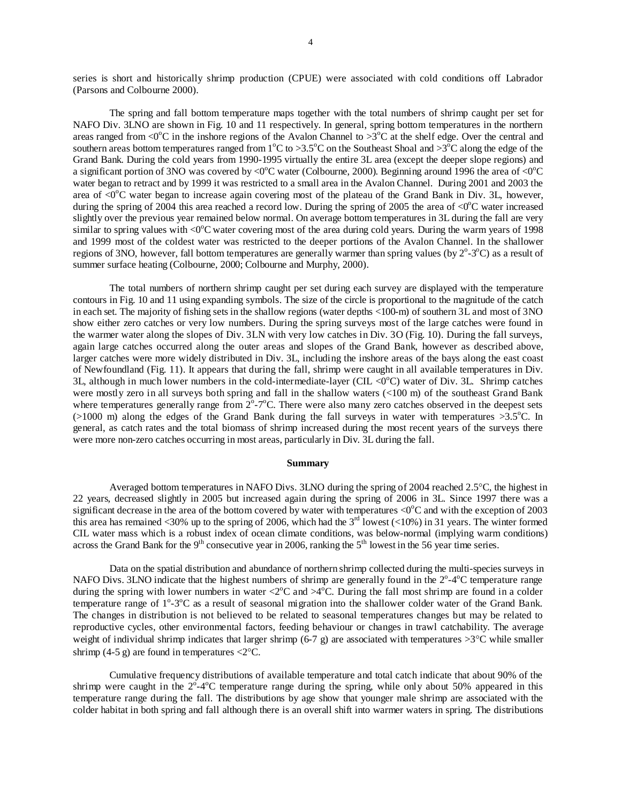series is short and historically shrimp production (CPUE) were associated with cold conditions off Labrador (Parsons and Colbourne 2000).

The spring and fall bottom temperature maps together with the total numbers of shrimp caught per set for NAFO Div. 3LNO are shown in Fig. 10 and 11 respectively. In general, spring bottom temperatures in the northern areas ranged from <0 $^{\circ}$ C in the inshore regions of the Avalon Channel to >3 $^{\circ}$ C at the shelf edge. Over the central and southern areas bottom temperatures ranged from  $1^{\circ}C$  to  $>3.5^{\circ}C$  on the Southeast Shoal and  $>3^{\circ}C$  along the edge of the Grand Bank. During the cold years from 1990-1995 virtually the entire 3L area (except the deeper slope regions) and a significant portion of 3NO was covered by <0 $^{\circ}$ C water (Colbourne, 2000). Beginning around 1996 the area of <0 $^{\circ}$ C water began to retract and by 1999 it was restricted to a small area in the Avalon Channel. During 2001 and 2003 the area of <0°C water began to increase again covering most of the plateau of the Grand Bank in Div. 3L, however, during the spring of 2004 this area reached a record low. During the spring of 2005 the area of  $\langle 0^{\circ}$ C water increased slightly over the previous year remained below normal. On average bottom temperatures in 3L during the fall are very similar to spring values with  $\langle 0^{\circ}$ C water covering most of the area during cold years. During the warm years of 1998 and 1999 most of the coldest water was restricted to the deeper portions of the Avalon Channel. In the shallower regions of 3NO, however, fall bottom temperatures are generally warmer than spring values (by  $2^{\circ}$ -3 $^{\circ}$ C) as a result of summer surface heating (Colbourne, 2000; Colbourne and Murphy, 2000).

The total numbers of northern shrimp caught per set during each survey are displayed with the temperature contours in Fig. 10 and 11 using expanding symbols. The size of the circle is proportional to the magnitude of the catch in each set. The majority of fishing sets in the shallow regions (water depths <100-m) of southern 3L and most of 3NO show either zero catches or very low numbers. During the spring surveys most of the large catches were found in the warmer water along the slopes of Div. 3LN with very low catches in Div. 3O (Fig. 10). During the fall surveys, again large catches occurred along the outer areas and slopes of the Grand Bank, however as described above, larger catches were more widely distributed in Div. 3L, including the inshore areas of the bays along the east coast of Newfoundland (Fig. 11). It appears that during the fall, shrimp were caught in all available temperatures in Div. 3L, although in much lower numbers in the cold-intermediate-layer (CIL  $\langle 0^{\circ}$ C) water of Div. 3L. Shrimp catches were mostly zero in all surveys both spring and fall in the shallow waters (<100 m) of the southeast Grand Bank where temperatures generally range from  $2^{\circ}$ -7 $^{\circ}$ C. There were also many zero catches observed in the deepest sets  $(>1000 \text{ m})$  along the edges of the Grand Bank during the fall surveys in water with temperatures  $>3.5^{\circ}$ C. In general, as catch rates and the total biomass of shrimp increased during the most recent years of the surveys there were more non-zero catches occurring in most areas, particularly in Div. 3L during the fall.

#### **Summary**

 Averaged bottom temperatures in NAFO Divs. 3LNO during the spring of 2004 reached 2.5°C, the highest in 22 years, decreased slightly in 2005 but increased again during the spring of 2006 in 3L. Since 1997 there was a significant decrease in the area of the bottom covered by water with temperatures  $\langle 0^{\circ}$ C and with the exception of 2003 this area has remained <30% up to the spring of 2006, which had the  $3<sup>rd</sup>$  lowest (<10%) in 31 years. The winter formed CIL water mass which is a robust index of ocean climate conditions, was below-normal (implying warm conditions) across the Grand Bank for the  $9<sup>th</sup>$  consecutive year in 2006, ranking the  $5<sup>th</sup>$  lowest in the 56 year time series.

 Data on the spatial distribution and abundance of northern shrimp collected during the multi-species surveys in NAFO Divs. 3LNO indicate that the highest numbers of shrimp are generally found in the  $2^{\circ}$ -4 $^{\circ}$ C temperature range during the spring with lower numbers in water  $\langle 2^{\circ}C \rangle$  and  $\langle 4^{\circ}C \rangle$ . During the fall most shrimp are found in a colder temperature range of 1°-3°C as a result of seasonal migration into the shallower colder water of the Grand Bank. The changes in distribution is not believed to be related to seasonal temperatures changes but may be related to reproductive cycles, other environmental factors, feeding behaviour or changes in trawl catchability. The average weight of individual shrimp indicates that larger shrimp (6-7 g) are associated with temperatures  $>3^{\circ}$ C while smaller shrimp (4-5 g) are found in temperatures  $\langle 2^{\circ}$ C.

Cumulative frequency distributions of available temperature and total catch indicate that about 90% of the shrimp were caught in the  $2^{\circ}$ -4 $^{\circ}$ C temperature range during the spring, while only about 50% appeared in this temperature range during the fall. The distributions by age show that younger male shrimp are associated with the colder habitat in both spring and fall although there is an overall shift into warmer waters in spring. The distributions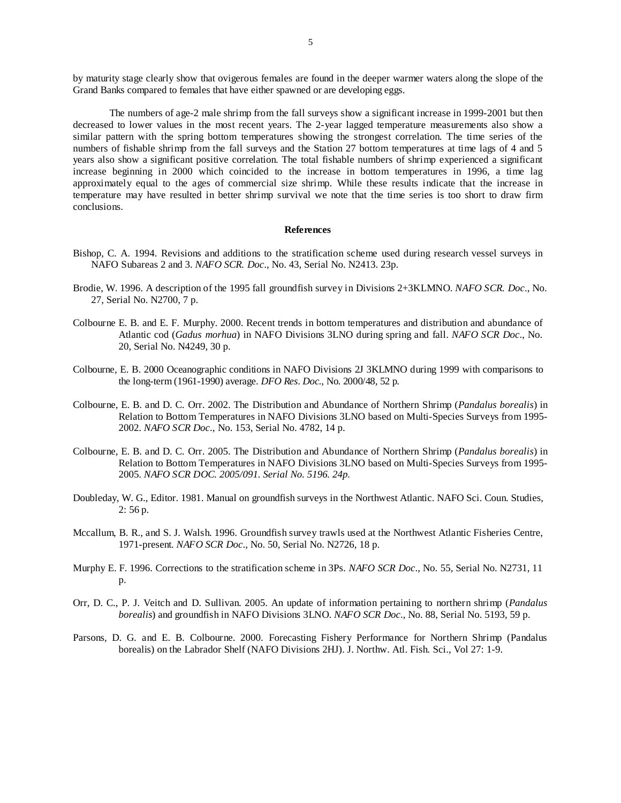by maturity stage clearly show that ovigerous females are found in the deeper warmer waters along the slope of the Grand Banks compared to females that have either spawned or are developing eggs.

The numbers of age-2 male shrimp from the fall surveys show a significant increase in 1999-2001 but then decreased to lower values in the most recent years. The 2-year lagged temperature measurements also show a similar pattern with the spring bottom temperatures showing the strongest correlation. The time series of the numbers of fishable shrimp from the fall surveys and the Station 27 bottom temperatures at time lags of 4 and 5 years also show a significant positive correlation. The total fishable numbers of shrimp experienced a significant increase beginning in 2000 which coincided to the increase in bottom temperatures in 1996, a time lag approximately equal to the ages of commercial size shrimp. While these results indicate that the increase in temperature may have resulted in better shrimp survival we note that the time series is too short to draw firm conclusions.

#### **References**

- Bishop, C. A. 1994. Revisions and additions to the stratification scheme used during research vessel surveys in NAFO Subareas 2 and 3. *NAFO SCR. Doc*., No. 43, Serial No. N2413. 23p.
- Brodie, W. 1996. A description of the 1995 fall groundfish survey in Divisions 2+3KLMNO. *NAFO SCR. Doc*., No. 27, Serial No. N2700, 7 p.
- Colbourne E. B. and E. F. Murphy. 2000. Recent trends in bottom temperatures and distribution and abundance of Atlantic cod (*Gadus morhua*) in NAFO Divisions 3LNO during spring and fall. *NAFO SCR Doc*., No. 20, Serial No. N4249, 30 p.
- Colbourne, E. B. 2000 Oceanographic conditions in NAFO Divisions 2J 3KLMNO during 1999 with comparisons to the long-term (1961-1990) average. *DFO Res. Doc*., No. 2000/48, 52 p.
- Colbourne, E. B. and D. C. Orr. 2002. The Distribution and Abundance of Northern Shrimp (*Pandalus borealis*) in Relation to Bottom Temperatures in NAFO Divisions 3LNO based on Multi-Species Surveys from 1995- 2002. *NAFO SCR Doc*., No. 153, Serial No. 4782, 14 p.
- Colbourne, E. B. and D. C. Orr. 2005. The Distribution and Abundance of Northern Shrimp (*Pandalus borealis*) in Relation to Bottom Temperatures in NAFO Divisions 3LNO based on Multi-Species Surveys from 1995- 2005. *NAFO SCR DOC. 2005/091. Serial No. 5196. 24p.*
- Doubleday, W. G., Editor. 1981. Manual on groundfish surveys in the Northwest Atlantic. NAFO Sci. Coun. Studies, 2: 56 p.
- Mccallum, B. R., and S. J. Walsh. 1996. Groundfish survey trawls used at the Northwest Atlantic Fisheries Centre, 1971-present. *NAFO SCR Doc*., No. 50, Serial No. N2726, 18 p.
- Murphy E. F. 1996. Corrections to the stratification scheme in 3Ps. *NAFO SCR Doc*., No. 55, Serial No. N2731, 11 p.
- Orr, D. C., P. J. Veitch and D. Sullivan. 2005. An update of information pertaining to northern shrimp (*Pandalus borealis*) and groundfish in NAFO Divisions 3LNO. *NAFO SCR Doc*., No. 88, Serial No. 5193, 59 p.
- Parsons, D. G. and E. B. Colbourne. 2000. Forecasting Fishery Performance for Northern Shrimp (Pandalus borealis) on the Labrador Shelf (NAFO Divisions 2HJ). J. Northw. Atl. Fish. Sci., Vol 27: 1-9.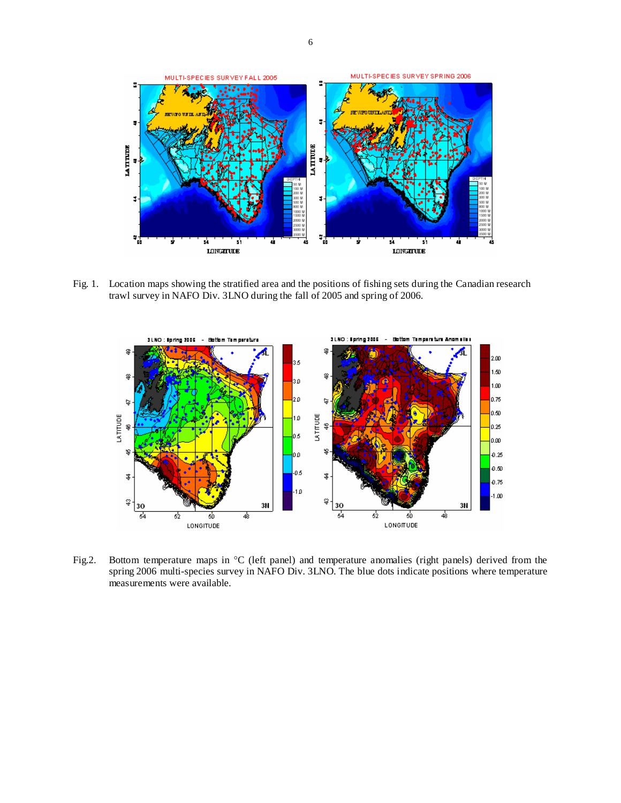

Fig. 1. Location maps showing the stratified area and the positions of fishing sets during the Canadian research trawl survey in NAFO Div. 3LNO during the fall of 2005 and spring of 2006.



Fig.2. Bottom temperature maps in °C (left panel) and temperature anomalies (right panels) derived from the spring 2006 multi-species survey in NAFO Div. 3LNO. The blue dots indicate positions where temperature measurements were available.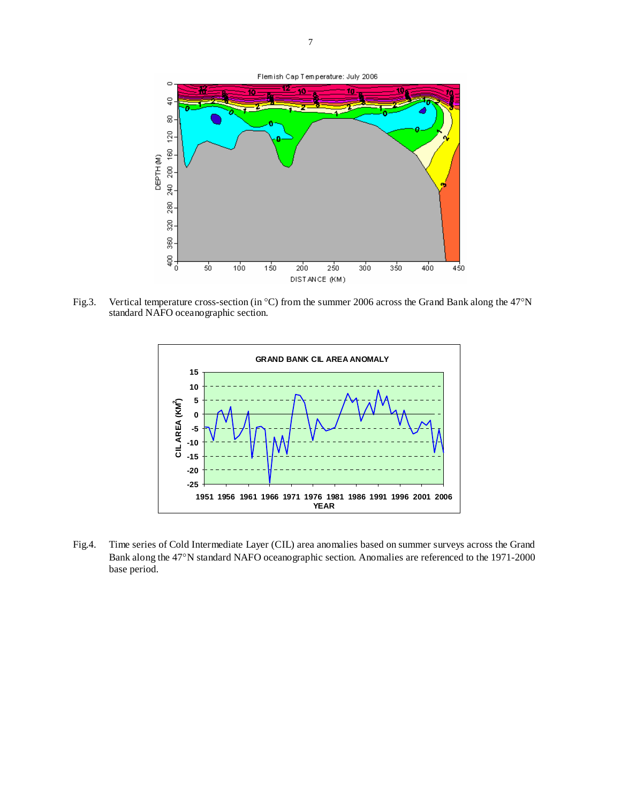

Fig.3. Vertical temperature cross-section (in °C) from the summer 2006 across the Grand Bank along the 47°N standard NAFO oceanographic section.



Fig.4. Time series of Cold Intermediate Layer (CIL) area anomalies based on summer surveys across the Grand Bank along the 47°N standard NAFO oceanographic section. Anomalies are referenced to the 1971-2000 base period.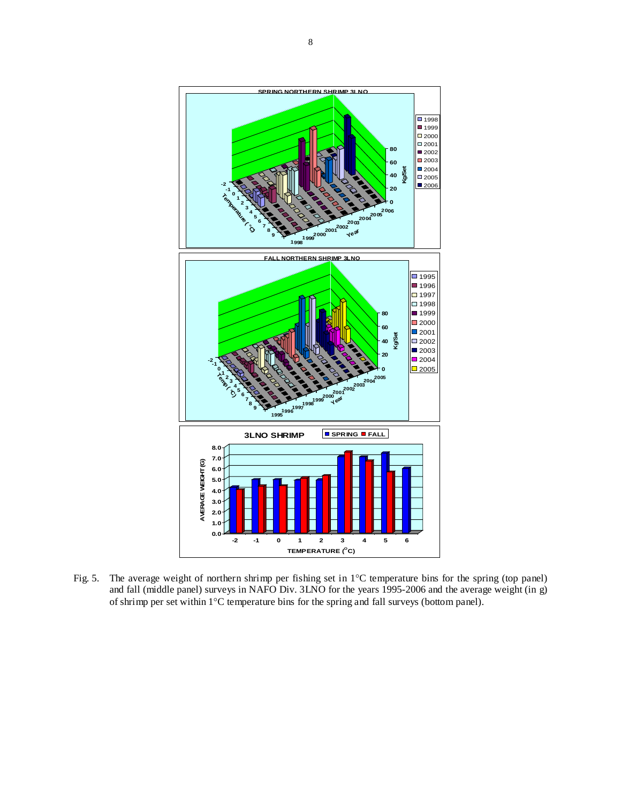

Fig. 5. The average weight of northern shrimp per fishing set in 1°C temperature bins for the spring (top panel) and fall (middle panel) surveys in NAFO Div. 3LNO for the years 1995-2006 and the average weight (in g) of shrimp per set within 1°C temperature bins for the spring and fall surveys (bottom panel).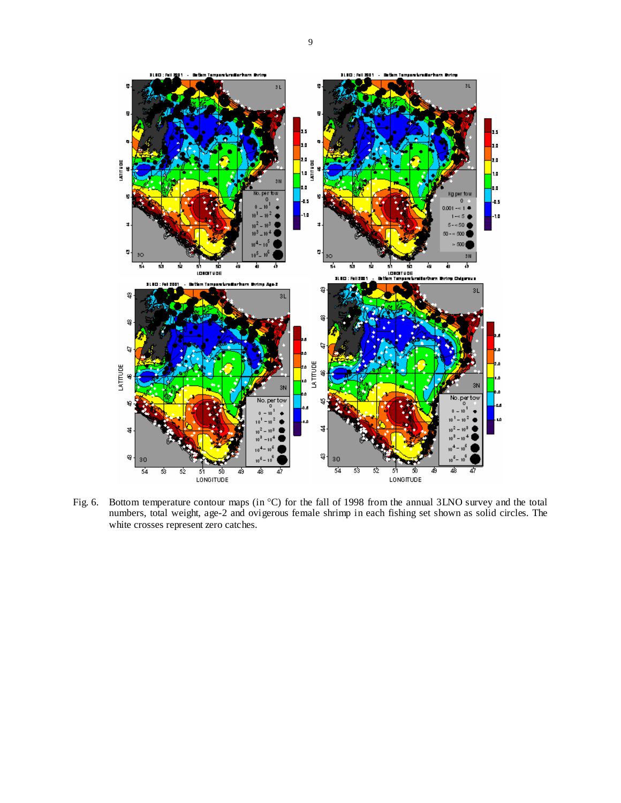

Fig. 6. Bottom temperature contour maps (in  $^{\circ}$ C) for the fall of 1998 from the annual 3LNO survey and the total numbers, total weight, age-2 and ovigerous female shrimp in each fishing set shown as solid circles. The white crosses represent zero catches.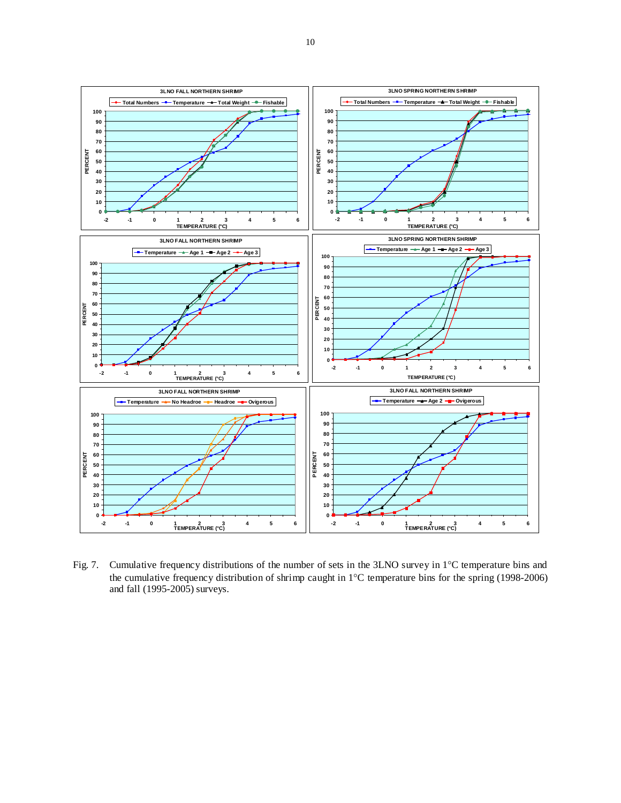

Fig. 7. Cumulative frequency distributions of the number of sets in the 3LNO survey in 1°C temperature bins and the cumulative frequency distribution of shrimp caught in 1°C temperature bins for the spring (1998-2006) and fall (1995-2005) surveys.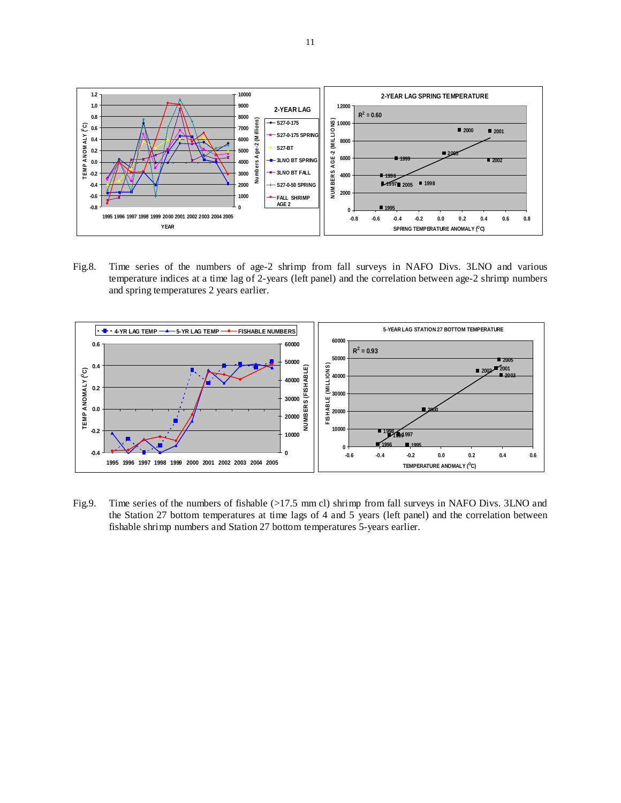

Fig.8. Time series of the numbers of age-2 shrimp from fall surveys in NAFO Divs. 3LNO and various temperature indices at a time lag of 2-years (left panel) and the correlation between age-2 shrimp numbers and spring temperatures 2 years earlier.



Fig.9. Time series of the numbers of fishable (>17.5 mm cl) shrimp from fall surveys in NAFO Divs. 3LNO and the Station 27 bottom temperatures at time lags of 4 and 5 years (left panel) and the correlation between fishable shrimp numbers and Station 27 bottom temperatures 5-years earlier.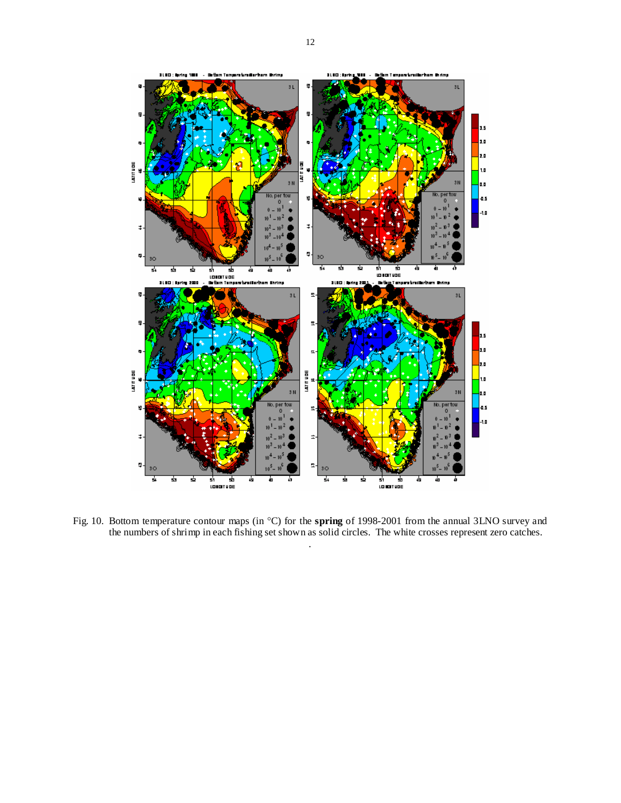

Fig. 10. Bottom temperature contour maps (in °C) for the **spring** of 1998-2001 from the annual 3LNO survey and the numbers of shrimp in each fishing set shown as solid circles. The white crosses represent zero catches. .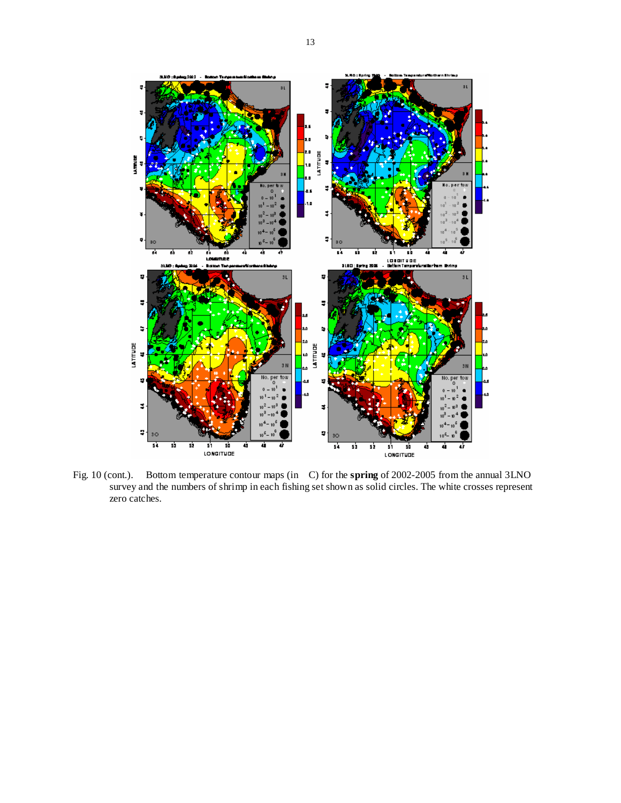

Fig. 10 (cont.). Bottom temperature contour maps (in C) for the **spring** of 2002-2005 from the annual 3LNO survey and the numbers of shrimp in each fishing set shown as solid circles. The white crosses represent zero catches.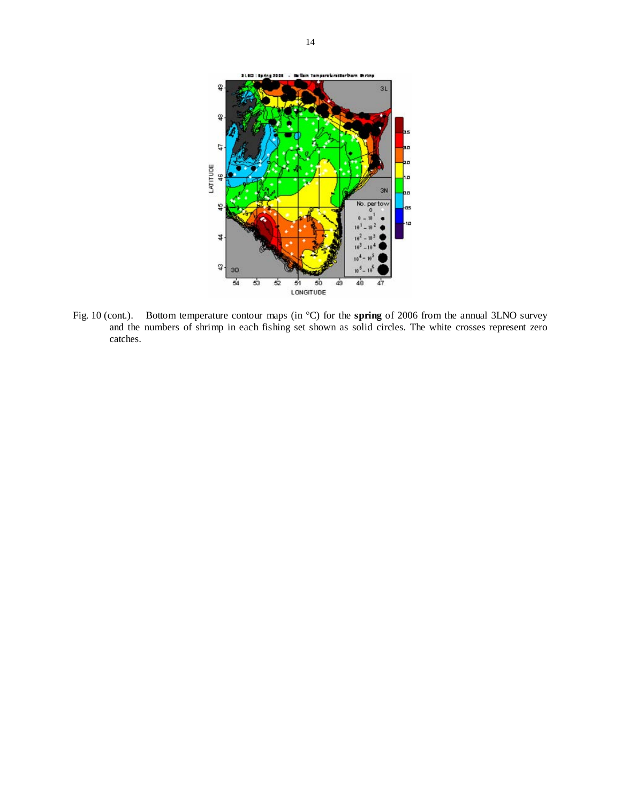

Fig. 10 (cont.). Bottom temperature contour maps (in °C) for the **spring** of 2006 from the annual 3LNO survey and the numbers of shrimp in each fishing set shown as solid circles. The white crosses represent zero catches.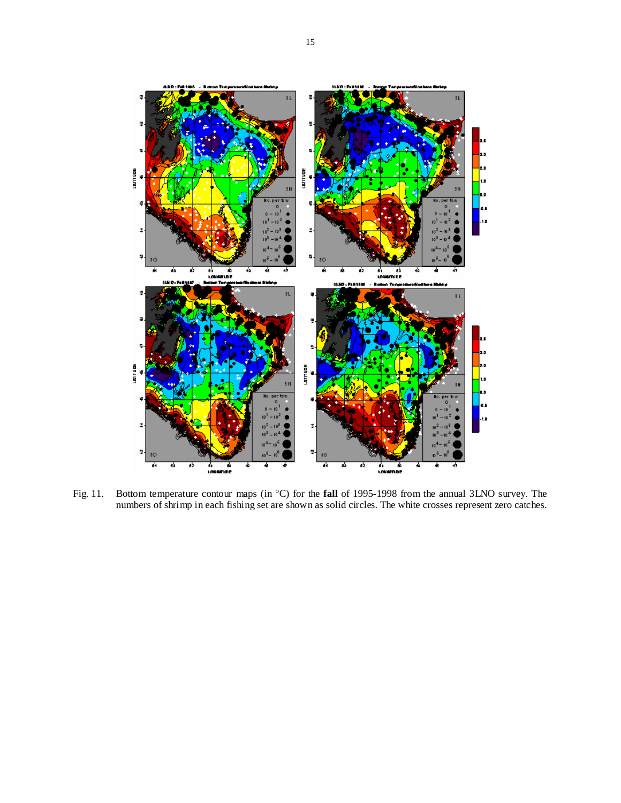

Fig. 11. Bottom temperature contour maps (in °C) for the **fall** of 1995-1998 from the annual 3LNO survey. The numbers of shrimp in each fishing set are shown as solid circles. The white crosses represent zero catches.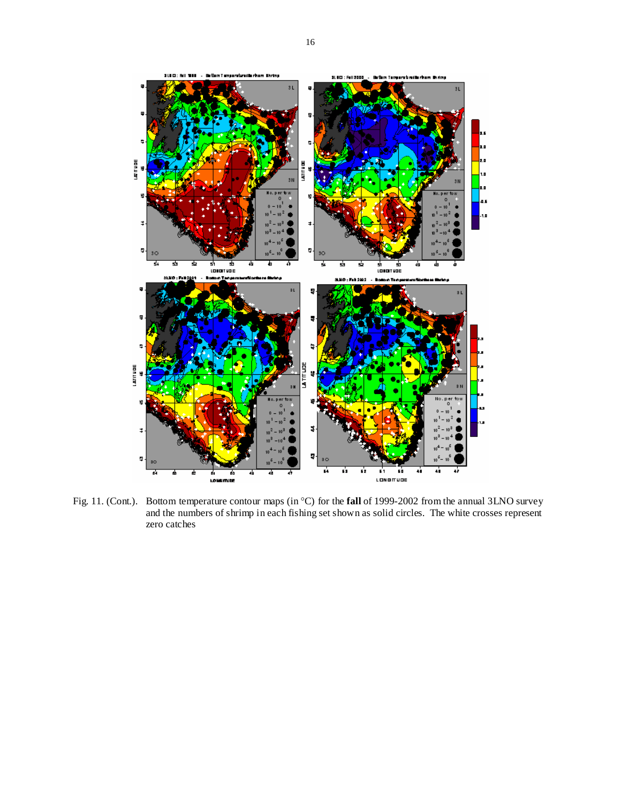

Fig. 11. (Cont.). Bottom temperature contour maps (in °C) for the **fall** of 1999-2002 from the annual 3LNO survey and the numbers of shrimp in each fishing set shown as solid circles. The white crosses represent zero catches